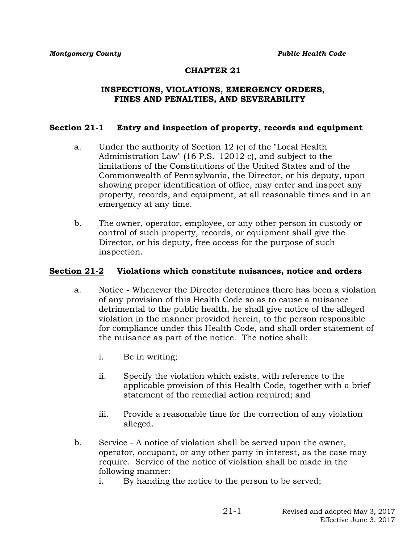### **CHAPTER 21**

#### **INSPECTIONS, VIOLATIONS, EMERGENCY ORDERS, FINES AND PENALTIES, AND SEVERABILITY**

### **Section 21-1 Entry and inspection of property, records and equipment**

- a. Under the authority of Section 12 (c) of the "Local Health Administration Law" (16 P.S. '12012 c), and subject to the limitations of the Constitutions of the United States and of the Commonwealth of Pennsylvania, the Director, or his deputy, upon showing proper identification of office, may enter and inspect any property, records, and equipment, at all reasonable times and in an emergency at any time.
- b. The owner, operator, employee, or any other person in custody or control of such property, records, or equipment shall give the Director, or his deputy, free access for the purpose of such inspection.

#### **Section 21-2 Violations which constitute nuisances, notice and orders**

- a. Notice Whenever the Director determines there has been a violation of any provision of this Health Code so as to cause a nuisance detrimental to the public health, he shall give notice of the alleged violation in the manner provided herein, to the person responsible for compliance under this Health Code, and shall order statement of the nuisance as part of the notice. The notice shall:
	- i. Be in writing;
	- ii. Specify the violation which exists, with reference to the applicable provision of this Health Code, together with a brief statement of the remedial action required; and
	- iii. Provide a reasonable time for the correction of any violation alleged.
- b. Service A notice of violation shall be served upon the owner, operator, occupant, or any other party in interest, as the case may require. Service of the notice of violation shall be made in the following manner:
	- i. By handing the notice to the person to be served;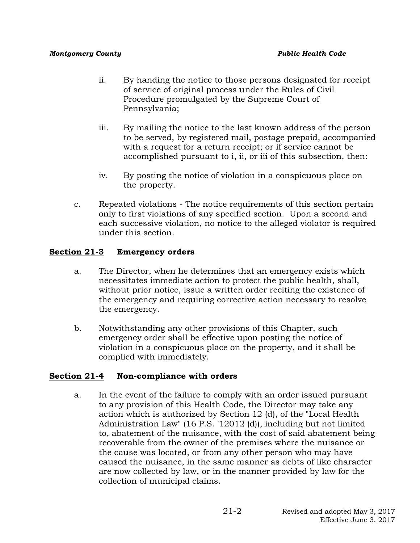- ii. By handing the notice to those persons designated for receipt of service of original process under the Rules of Civil Procedure promulgated by the Supreme Court of Pennsylvania;
- iii. By mailing the notice to the last known address of the person to be served, by registered mail, postage prepaid, accompanied with a request for a return receipt; or if service cannot be accomplished pursuant to i, ii, or iii of this subsection, then:
- iv. By posting the notice of violation in a conspicuous place on the property.
- c. Repeated violations The notice requirements of this section pertain only to first violations of any specified section. Upon a second and each successive violation, no notice to the alleged violator is required under this section.

# **Section 21-3 Emergency orders**

- a. The Director, when he determines that an emergency exists which necessitates immediate action to protect the public health, shall, without prior notice, issue a written order reciting the existence of the emergency and requiring corrective action necessary to resolve the emergency.
- b. Notwithstanding any other provisions of this Chapter, such emergency order shall be effective upon posting the notice of violation in a conspicuous place on the property, and it shall be complied with immediately.

# **Section 21-4 Non-compliance with orders**

a. In the event of the failure to comply with an order issued pursuant to any provision of this Health Code, the Director may take any action which is authorized by Section 12 (d), of the "Local Health Administration Law" (16 P.S. '12012 (d)), including but not limited to, abatement of the nuisance, with the cost of said abatement being recoverable from the owner of the premises where the nuisance or the cause was located, or from any other person who may have caused the nuisance, in the same manner as debts of like character are now collected by law, or in the manner provided by law for the collection of municipal claims.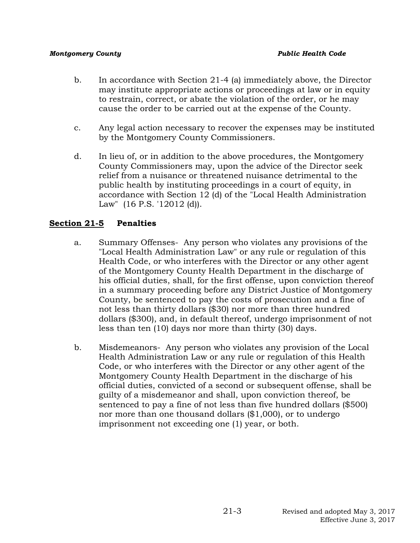- b. In accordance with Section 21-4 (a) immediately above, the Director may institute appropriate actions or proceedings at law or in equity to restrain, correct, or abate the violation of the order, or he may cause the order to be carried out at the expense of the County.
- c. Any legal action necessary to recover the expenses may be instituted by the Montgomery County Commissioners.
- d. In lieu of, or in addition to the above procedures, the Montgomery County Commissioners may, upon the advice of the Director seek relief from a nuisance or threatened nuisance detrimental to the public health by instituting proceedings in a court of equity, in accordance with Section 12 (d) of the "Local Health Administration Law" (16 P.S. '12012 (d)).

## **Section 21-5 Penalties**

- a. Summary Offenses- Any person who violates any provisions of the "Local Health Administration Law" or any rule or regulation of this Health Code, or who interferes with the Director or any other agent of the Montgomery County Health Department in the discharge of his official duties, shall, for the first offense, upon conviction thereof in a summary proceeding before any District Justice of Montgomery County, be sentenced to pay the costs of prosecution and a fine of not less than thirty dollars (\$30) nor more than three hundred dollars (\$300), and, in default thereof, undergo imprisonment of not less than ten (10) days nor more than thirty (30) days.
- b. Misdemeanors- Any person who violates any provision of the Local Health Administration Law or any rule or regulation of this Health Code, or who interferes with the Director or any other agent of the Montgomery County Health Department in the discharge of his official duties, convicted of a second or subsequent offense, shall be guilty of a misdemeanor and shall, upon conviction thereof, be sentenced to pay a fine of not less than five hundred dollars (\$500) nor more than one thousand dollars (\$1,000), or to undergo imprisonment not exceeding one (1) year, or both.